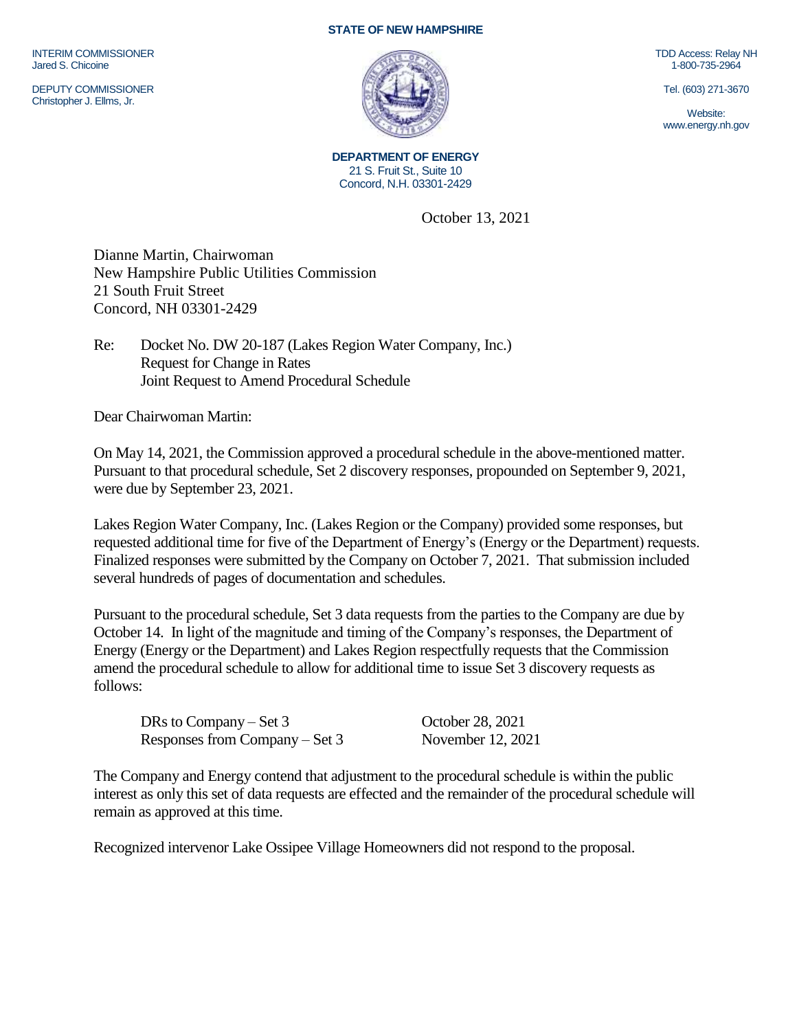INTERIM COMMISSIONER Jared S. Chicoine

DEPUTY COMMISSIONER Christopher J. Ellms, Jr.

## **STATE OF NEW HAMPSHIRE**



**DEPARTMENT OF ENERGY** 21 S. Fruit St., Suite 10 Concord, N.H. 03301-2429

October 13, 2021

Dianne Martin, Chairwoman New Hampshire Public Utilities Commission 21 South Fruit Street Concord, NH 03301-2429

Re: Docket No. DW 20-187 (Lakes Region Water Company, Inc.) Request for Change in Rates Joint Request to Amend Procedural Schedule

Dear Chairwoman Martin:

On May 14, 2021, the Commission approved a procedural schedule in the above-mentioned matter. Pursuant to that procedural schedule, Set 2 discovery responses, propounded on September 9, 2021, were due by September 23, 2021.

Lakes Region Water Company, Inc. (Lakes Region or the Company) provided some responses, but requested additional time for five of the Department of Energy's (Energy or the Department) requests. Finalized responses were submitted by the Company on October 7, 2021. That submission included several hundreds of pages of documentation and schedules.

Pursuant to the procedural schedule, Set 3 data requests from the parties to the Company are due by October 14. In light of the magnitude and timing of the Company's responses, the Department of Energy (Energy or the Department) and Lakes Region respectfully requests that the Commission amend the procedural schedule to allow for additional time to issue Set 3 discovery requests as follows:

DRs to Company – Set 3 October 28, 2021 Responses from Company – Set 3 November 12, 2021

The Company and Energy contend that adjustment to the procedural schedule is within the public interest as only this set of data requests are effected and the remainder of the procedural schedule will remain as approved at this time.

Recognized intervenor Lake Ossipee Village Homeowners did not respond to the proposal.

TDD Access: Relay NH 1-800-735-2964

Tel. (603) 271-3670

Website: www.energy.nh.gov